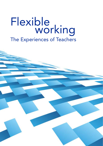# Flexible<br>working The Experiences of Teachers

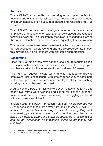## **Purpose**

The NASUWT is committed to securing equal opportunities for teachers and ensuring that all teachers, irrespective of background or circumstances, are valued, recognised and respected fully as professionals.

The NASUWT has become increasingly concerned by the number of employers of teachers who resist and actively discourage requests for flexible working. This research by the Union is intended to examine the nature of teachers' experiences when requesting flexible working.

This research seeks to examine the extent to which teachers are being denied access to flexible working and the disproportionate impact this may be having on teachers with protected characteristics.

## **Background**

Since 2014, all employees have had the legal right to request flexible working from their employer. This entitlement is available to employees who have worked for the same employer for at least 26 weeks.

The right to request flexible working was intended to provide employees, including teachers, with greater opportunity to participate in the workplace and to remain in employment by establishing working patterns that suit them best.

A survey by the TUC of British workers over the age of 50 found that nearly two thirds were working and caring for a friend or family member and that one in seven were likely to be juggling paid work with caring responsibilities.**<sup>1</sup>**

In March 2016, the TUC/IPPR research entitled *The Motherhood Pay Penalty* concluded that *'more better-paid jobs [should] be available at reduced hours or as flexible working, to prevent women getting stuck in low-paid, part-time work after having children'* and that *'more [should be] done to ensure all women are supported in the workplace and do not experience discrimination linked to pregnancy and childbirth'*. **2** 

**<sup>1</sup>** TUC – *Time off and flexible working for carers*, December 2013 edition

**<sup>2</sup>***TUC – The Motherhood Pay Penalty*, March 2016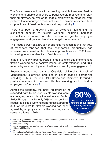The Government's rationale for extending the right to request flexible working is to enable employers to better recruit, motivate and retain their employees, as well as to enable employers to establish work patterns that encourage a more inclusive and diverse workforce, built on principles of freedom, fairness and responsibility.**<sup>3</sup>**

There has been a growing body of evidence highlighting the significant benefits of flexible working, including increased productivity, a more motivated workforce, greater employee engagement and greater diversity amongst the workforce.**<sup>4</sup>**

The Regus Survey of 2,500 senior business managers found that 70% of managers reported that their workforce's productivity had increased as a result of flexible working practices and 63% linked increasing revenues directly to flexible working.**<sup>5</sup>**

In addition, nearly three quarters of employers felt that implementing flexible working had a positive impact on staff retention, and 73% reported greater employee motivation and employee engagement.**<sup>6</sup>**

Research conducted by the Cranfield University School of Management examined practices in seven leading companies including KPMG, Centrica, Rolls Royce and Microsoft. It found a positive relationship between flexible working and individual employee performance.**<sup>7</sup>**

Across the economy, the initial indicators of the extended right to request flexible working were encouraging. In a study by the Institute for Public Policy Research, whilst only 25% of workers had requested flexible working opportunities, around 80% of requests for flexible working had been agreed by employers since the new legislation came into force in 2014.**<sup>8</sup>**

**80% Across the economy four out of five flexible working requests are approved** 

**6** Ibid

**<sup>3</sup>** www.gov.uk/government/uploads/system/uploads/attachment\_data/file/82793/12-1269-modernworkplaces-response-flexible-working.pdf

**<sup>4</sup>** CIPD Survey (2012)

**<sup>5</sup>** www.londonlovesbusiness.com/business-news/tech/e-guide-flexible-working-the-good-managersguidebook/5692.article

**<sup>7</sup>** Working Families Publication, *Flexible Working and Performance – Summary of Research* 

**<sup>8</sup>**Moss, 2014 cited in *Women and Flexible Working: Improving Female Employment Outcomes in Europe, 2014*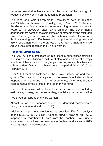However, few studies have examined the impact of the new right to request flexible working on the teaching profession.

The Right Honourable Nicky Morgan, Secretary of State for Education and Minister for Women and Equality, has, in March 2016, declared the Government's commitment to encouraging women teachers to return to the classroom after having children. The Government's announcement came at the same time as comments by the thinktank, Policy Exchange, which warned that schools needed to embrace flexible working and offer benefits to stop the 'shocking waste of talent' of women leaving the profession after taking maternity leave. Around 70% of teachers in the UK are women.

#### **Research Methodology**

The NASUWT conducted research into teachers' experiences of flexible working requests utilising a mixture of electronic and postal surveys, structured interviews and focus groups involving serving teachers and school leaders. Data was gathered during the period August 2015 and February 2016.

Over 1,000 teachers took part in the surveys, interviews and focus groups. Teachers who participated in the research included a mix of respondents in age and length of experience, which was broadly representative of the profile of the teacher workforce.

Teachers from across all sectors/phases were questioned, including early years, primary, middle, secondary, special and further education.

Two thirds of respondents were women.

Almost half of those teachers questioned identified themselves as being black or minority ethnic (BME).

Additional complementary evidence has been identified from analysis of the NASUWT's 2015 Big Question survey, drawing on 15,000 respondents, together with data from the Teachers' Pay Survey, undertaken by the Union of teachers in England and Wales in 2015, which attracted 7,000 responses.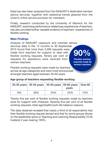Data has also been analysed from the NASUWT's dedicated member advice services, together with statistical trends gleaned from the Union's online service provision for members.

Finally, research conducted by the University of Warwick for the NASUWT, examining performance-related pay experiences of teachers, has also provided further valuable evidence of teachers' experiences of flexible working.

#### **Main Findings**

2015 found that more than 3,000 requests were Analysis of NASUWT casework and member advice services data in the 12 months to 30 September made from teachers for support to deal with flexible working requests. Ninety per cent of requests for assistance were received from women teachers.

**90% Flexible working requests made by women teachers** 

Flexible working requests were made by teachers across all age categories and were most pronounced amongst teachers aged between 30-60 years.

# **Age group of teachers requesting flexible working**

|    | 20-30 years   30-40 years   40-50 years   50-60 years   Over 60 |     | vears |     |
|----|-----------------------------------------------------------------|-----|-------|-----|
| 9% | 30%                                                             | 24% | 24%   | 12% |

Twenty-five per cent of flexible working requests made by teachers were for support with childcare. Seventy-five per cent of all flexible working requests cited age/health/work-life balance reasons.

The data obtained revealed that nearly a third of all respondents had their flexible working request denied and that for some groups (those on the leadership spine or Teaching and Learning Responsibility (TLR) holders) it was nearing 100%.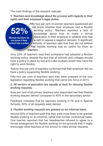The main findings of the research indicate:

**Women teachers do not know if their school has a policy** 

*1. Teachers lack knowledge about the process with regards to their rights and their employer's legal duties.* 

**52%**  Fifty-two per cent of women teachers questioned did not know whether their employer had a flexible working policy. Teachers reported a lack of knowledge about how to make a formal application to their employer or whether they had a right to appeal a negative decision. A significant minority of teachers said that they did not believe

> that flexible working was an option for them as teachers.

Only 23% of teachers said their workplace had adopted a flexible working policy, despite the fact that all schools and colleges should have a policy in place by law and make workers aware they have the right to work flexibly.

Twenty-five per cent of teachers confirmed that their employer did not have a policy supporting flexible working.

Fifty-two per cent of teachers said they were unaware of the new legislation regarding flexible working that came into force in 2014.

#### *2. All sectors of education are equally at fault for denying flexible working requests.*

Sixty per cent of all primary teachers who responded had their flexible working request denied compared to 40% in the secondary sector.

Feedback indicates that for teachers working in FE and in Special Schools, 50% of all requests were denied.

#### *3. Flexible working requests are granted on an informal basis.*

Around 30% of teachers said that they were more likely to be granted flexible working on an informal, rather than formal, contractual basis. One teacher reported that her headteacher refused to agree to a formal arrangement for flexible working on the grounds that it might encourage other teachers at the school to make similar requests.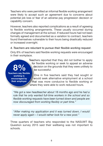Teachers who were permitted an informal flexible working arrangement were likely to accept such an agreement due to concerns about potential job loss or fear of an adverse pay progression decision or capability concern.

However, teachers also reported complications as a result of agreeing to flexible working arrangements. These usually occurred during changes of management at the school. If reduced hours had not been formally agreed and documented as a variation to contract, teachers found themselves vulnerable to their hours being drastically reduced or increased overnight.

## *4. Teachers are reluctant to pursue their flexible working request*.

Only 8% of teachers said flexible working requests were encouraged in their workplace.

> Teachers reported that they did not bother to apply for flexible working or seek to appeal an adverse decision on the grounds that they were unlikely to be successful.

**8% Teachers say flexible working is encouraged by their employer** 

One in five teachers said they had sought or would seek alternative employment at a school that was more conducive to flexible working or

where they were able to work reduced hours.

*"We got a new headteacher about 18 months ago and he had a rule that he only wanted full-time workers in the school and so flexible working requests have been turned down and people are now discouraged from working flexibly or part time."* 

*"After making my application and it was turned down, I would never apply again – I would rather look for a new post."* 

Three quarters of teachers who responded to the NASUWT Big Question survey 2015 said their wellbeing was not important to schools.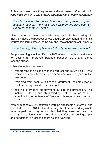*5. Teachers are more likely to leave the profession than return to school full time or to unworkable timetables and hostile colleagues.* 

*"I sadly resigned from my full-time post and joined a supply teachers' agency. I now have three children and have been a supply teacher for 91 ⁄2 years."* 

Many teachers who were denied their request for flexible working said that they faced the prospect of less secure employment and financial detriment in terms of take-home pay and loss of pension entitlements.

*"I decided to go the supply route – but sadly no teachers' pension."* 

Supply teaching was identified by 10% of respondents as a strategy for seeing an improved balance between work and caring responsibilities.

Other strategies cited were:

- withdrawing the flexible working request and returning full time. whilst seeking alternative part-time employment (one in five teachers);
- resigning from post, with financial detriment, including loss of contractual rights and maternity rights;
- seeking alternative employment outside the profession. This included tutoring and child-minding, both of which mean a significant loss in terms of finance, job security and pension contributions.

Women teachers (90% of flexible working applicants are female) and disabled teachers (48% of workers say that flexible working would have helped them stay in work but that they were not given the option),**9** in particular, were more likely to suffer a worsening of pay and conditions in order to secure flexible working.

SCOPE – A Million Futures 2013, Living Standards Survey 2013 **9**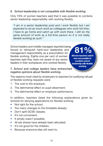## *6. School leadership is not compatible with flexible working.*

Only 19% of women teachers said that it was possible to combine senior leadership responsibility with working flexibly.

*"I am in a senior leadership post and I work flexibly but I am expected to do as much work as colleagues who work full time. I have to go home and catch up with work there. I still do the same amount of work as a full-time person so it is not really flexible working as such."* 

School leaders and middle managers reported being forced to relinquish hard-won leadership and management responsibility as a precondition for flexible working. Eighty-one per cent of women teachers said they were not aware of any senior leaders in their workplaces who worked flexibly.

**81% Women teachers said it was not possible to combine school leadership with flexible working** 

# *7. School and college leaders have entrenched negative opinions about flexible working.*

The reasons most cited by employers to teachers for justifying refusal of flexible working requests were:

- 1. The cost to the employer;
- 2. The detrimental effect on pupil attainment;
- 3. The detrimental effect on employer performance.

In addition, teachers listed the following explanations given by schools for denying applications for flexible working:

- Not right for the school;
- Too many changes to the timetable already;
- Don't split GCSE classes;
- It's not convenient:
- It simply wasn't possible;
- All job shares have already been allocated;
- It's not good for the children;
- Because everyone else will want to;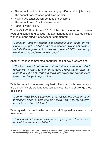- The school could not recruit suitably qualified staff to job share;
- The school doesn't need part-time workers;
- Having two teachers will confuse the children:
- The school doesn't split exam classes;
- Parents won't like it.

The NASUWT Pay Survey 2015 highlighted a number of issues regarding school and college management attitudes towards flexible working. In the survey, one teacher commented:

*"Although I met my targets last academic year, being on the Upper Pay Spine and as a part-time teacher, I would not be able to fulfil the requirement on the next level of UPS due to my working hours and roles within school."* 

Another teacher commented about her lack of pay progression:

*"The head would not agree to it and after my second child I would like to return to work three days a week rather than the current four. It is not worth making a fuss as she will be less likely to allow a change to my contract."* 

With the impact of increased pay flexibilities in schools, teachers who are denied flexible working requests are less likely to challenge these decisions.**<sup>10</sup>**

*"I am on Main Scale 6 and can't progress without going through threshold and as I'm part time will possibly wait until my children are older and I am full time."* 

When questioned as to why teachers didn't appeal pay awards, one teacher responded:

*"Too scared of the repercussions on my long-term future. Boss is vindictive and manipulative."* 

<sup>&</sup>lt;sup>10</sup> Institute for Employment Research – University of Warwick, February 2016. Longitudinal research into *the impact of changes to teachers' pay on equality in schools in England*.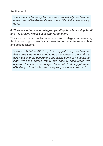Another said:

*"Because, in all honesty, I am scared to appeal. My headteacher is awful and will make my life even more difficult than she already does."* 

## *8. There are schools and colleges operating flexible working for all and it is proving highly successful for teachers*

The most important factor in schools and colleges implementing flexible working successfully appears to be the attitudes of school and college leaders.

*"I am a TLR holder (SENCO). I did suggest to my headteacher that a colleague (who wanted to do an extra day) could work my day, managing the department and taking some of my teaching load. My head agreed totally and actually encouraged my decision. I feel far more energised and able to do my job more effectively. I do actually have a very supportive headteacher."*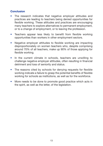# **Conclusion**

- The research indicates that negative employer attitudes and practices are leading to teachers being denied opportunities for flexible working. These attitudes and practices are encouraging many teachers to explore alternatives to permanent employment, or to a change of employment, or to leaving the profession.
- Teachers appear less likely to benefit from flexible working opportunities than workers in other employment sectors.
- Negative employer attitudes to flexible working are impacting disproportionately on women teachers who, despite comprising around 70% of all teachers, make up 90% of those applying for flexible working.
- In the current climate in schools, teachers are unwilling to challenge negative employer attitudes, often resulting in financial detriment and loss of seniority and status.
- The reasons cited by schools for denying requests for flexible working indicate a failure to grasp the potential benefits of flexible working for schools as institutions, as well as for the workforce.
- More needs to be done to promote good practice which acts in the spirit, as well as the letter, of the legislation.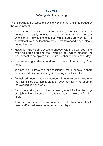## **ANNEX 1**

#### Defining 'flexible working'

The following are all types of flexible working that are encouraged by the Government:

- Compressed hours compressed working weeks (or fortnights) do not necessarily involve a reduction in total hours or any extension in individual choice over which hours are worked. The central feature is reallocation of work into fewer and longer blocks during the week.
- Flexitime allows employees to choose, within certain set limits, when to begin and end their working day whilst meeting the requirement to complete a minimum number of hours each day.
- Home-working allows workers to spend time working from home.
- Job-sharing allows two, or occasionally more, people to share the responsibility and working time for a job between them.
- Annualised hours the total number of hours to be worked over the year is fixed but there is variation over the year in the length of the working day and week.
- Part-time working a contractual arrangement for the discharge of a job within contracted hours fewer than the relevant full-time hours.
- Term-time working an arrangement which allows a worker to take paid/unpaid leave during school holidays.